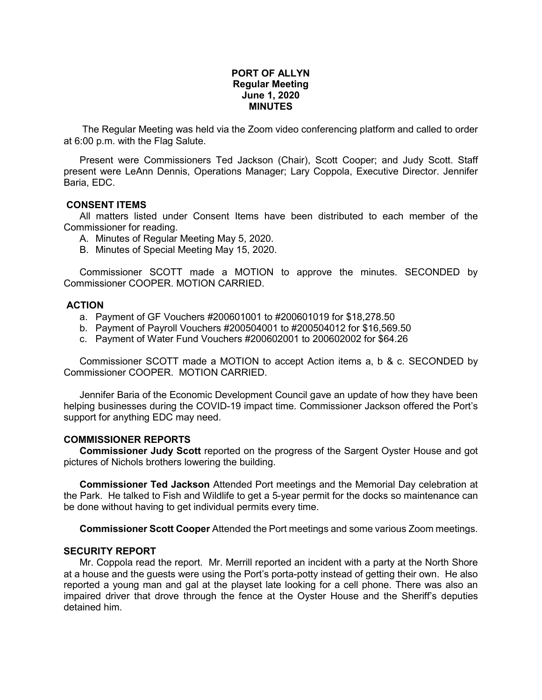## **PORT OF ALLYN Regular Meeting June 1, 2020 MINUTES**

The Regular Meeting was held via the Zoom video conferencing platform and called to order at 6:00 p.m. with the Flag Salute.

Present were Commissioners Ted Jackson (Chair), Scott Cooper; and Judy Scott. Staff present were LeAnn Dennis, Operations Manager; Lary Coppola, Executive Director. Jennifer Baria, EDC.

## **CONSENT ITEMS**

All matters listed under Consent Items have been distributed to each member of the Commissioner for reading.

- A. Minutes of Regular Meeting May 5, 2020.
- B. Minutes of Special Meeting May 15, 2020.

Commissioner SCOTT made a MOTION to approve the minutes. SECONDED by Commissioner COOPER. MOTION CARRIED.

## **ACTION**

- a. Payment of GF Vouchers #200601001 to #200601019 for \$18,278.50
- b. Payment of Payroll Vouchers #200504001 to #200504012 for \$16,569.50
- c. Payment of Water Fund Vouchers #200602001 to 200602002 for \$64.26

Commissioner SCOTT made a MOTION to accept Action items a, b & c. SECONDED by Commissioner COOPER. MOTION CARRIED.

Jennifer Baria of the Economic Development Council gave an update of how they have been helping businesses during the COVID-19 impact time. Commissioner Jackson offered the Port's support for anything EDC may need.

## **COMMISSIONER REPORTS**

**Commissioner Judy Scott** reported on the progress of the Sargent Oyster House and got pictures of Nichols brothers lowering the building.

**Commissioner Ted Jackson** Attended Port meetings and the Memorial Day celebration at the Park. He talked to Fish and Wildlife to get a 5-year permit for the docks so maintenance can be done without having to get individual permits every time.

**Commissioner Scott Cooper** Attended the Port meetings and some various Zoom meetings.

## **SECURITY REPORT**

Mr. Coppola read the report. Mr. Merrill reported an incident with a party at the North Shore at a house and the guests were using the Port's porta-potty instead of getting their own. He also reported a young man and gal at the playset late looking for a cell phone. There was also an impaired driver that drove through the fence at the Oyster House and the Sheriff's deputies detained him.